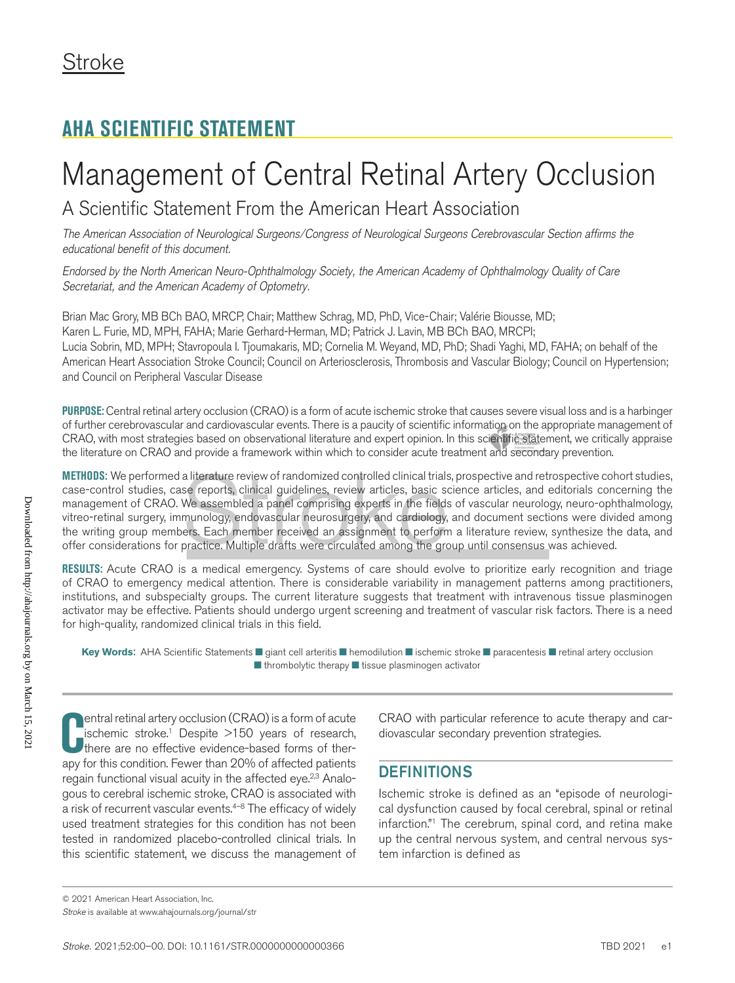# **AHA SCIENTIFIC STATEMENT**

# Management of Central Retinal Artery Occlusion

A Scientific Statement From the American Heart Association

*The American Association of Neurological Surgeons/Congress of Neurological Surgeons Cerebrovascular Section affirms the educational benefit of this document.*

*Endorsed by the North American Neuro-Ophthalmology Society, the American Academy of Ophthalmology Quality of Care Secretariat, and the American Academy of Optometry.*

Brian Mac Grory, MB BCh BAO, MRCP, Chair; Matthew Schrag, MD, PhD, Vice-Chair; Valérie Biousse, MD; Karen L. Furie, MD, MPH, FAHA; Marie Gerhard-Herman, MD; Patrick J. Lavin, MB BCh BAO, MRCPI; Lucia Sobrin, MD, MPH; Stavropoula I. Tjoumakaris, MD; Cornelia M. Weyand, MD, PhD; Shadi Yaghi, MD, FAHA; on behalf of the American Heart Association Stroke Council; Council on Arteriosclerosis, Thrombosis and Vascular Biology; Council on Hypertension; and Council on Peripheral Vascular Disease

**PURPOSE:** Central retinal artery occlusion (CRAO) is a form of acute ischemic stroke that causes severe visual loss and is a harbinger of further cerebrovascular and cardiovascular events. There is a paucity of scientific information on the appropriate management of CRAO, with most strategies based on observational literature and expert opinion. In this scientific statement, we critically appraise the literature on CRAO and provide a framework within which to consider acute treatment and secondary prevention.

**METHODS:** We performed a literature review of randomized controlled clinical trials, prospective and retrospective cohort studies, case-control studies, case reports, clinical guidelines, review articles, basic science articles, and editorials concerning the management of CRAO. We assembled a panel comprising experts in the fields of vascular neurology, neuro-ophthalmology, vitreo-retinal surgery, immunology, endovascular neurosurgery, and cardiology, and document sections were divided among the writing group members. Each member received an assignment to perform a literature review, synthesize the data, and offer considerations for practice. Multiple drafts were circulated among the group until consensus was achieved.

**RESULTS:** Acute CRAO is a medical emergency. Systems of care should evolve to prioritize early recognition and triage of CRAO to emergency medical attention. There is considerable variability in management patterns among practitioners, institutions, and subspecialty groups. The current literature suggests that treatment with intravenous tissue plasminogen activator may be effective. Patients should undergo urgent screening and treatment of vascular risk factors. There is a need for high-quality, randomized clinical trials in this field.

**Key Words:** AHA Scientific Statements ■ giant cell arteritis ■ hemodilution ■ ischemic stroke ■ paracentesis ■ retinal artery occlusion ■ thrombolytic therapy ■ tissue plasminogen activator

**C** entral retinal artery occlusion (CRAO) is a form of acute ischemic stroke.<sup>1</sup> Despite >150 years of research, there are no effective evidence-based forms of therapy for this condition. Fewer than 20% of affected patien **Pentral retinal artery occlusion (CRAO) is a form of acute** ischemic stroke.<sup>1</sup> Despite >150 years of research, there are no effective evidence-based forms of therregain functional visual acuity in the affected eye.<sup>2,3</sup> Analogous to cerebral ischemic stroke, CRAO is associated with a risk of recurrent vascular events.<sup>4-8</sup> The efficacy of widely used treatment strategies for this condition has not been tested in randomized placebo-controlled clinical trials. In this scientific statement, we discuss the management of

CRAO with particular reference to acute therapy and cardiovascular secondary prevention strategies.

# **DEFINITIONS**

Ischemic stroke is defined as an "episode of neurological dysfunction caused by focal cerebral, spinal or retinal infarction."1 The cerebrum, spinal cord, and retina make up the central nervous system, and central nervous system infarction is defined as

*Stroke* is available at www.ahajournals.org/journal/str © 2021 American Heart Association, Inc.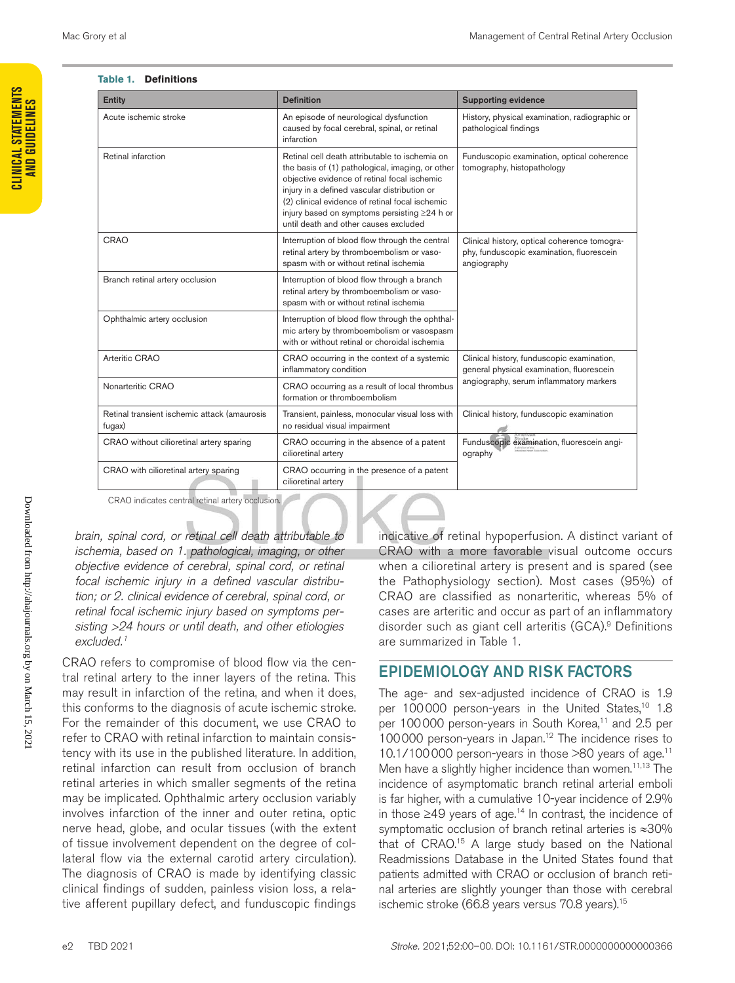#### **Table 1. Definitions**

| Entity                                                 | <b>Definition</b>                                                                                                                                                                                                                                                                                                                                    | <b>Supporting evidence</b>                                                                               |  |  |
|--------------------------------------------------------|------------------------------------------------------------------------------------------------------------------------------------------------------------------------------------------------------------------------------------------------------------------------------------------------------------------------------------------------------|----------------------------------------------------------------------------------------------------------|--|--|
| Acute ischemic stroke                                  | An episode of neurological dysfunction<br>caused by focal cerebral, spinal, or retinal<br>infarction                                                                                                                                                                                                                                                 | History, physical examination, radiographic or<br>pathological findings                                  |  |  |
| Retinal infarction                                     | Retinal cell death attributable to ischemia on<br>the basis of (1) pathological, imaging, or other<br>objective evidence of retinal focal ischemic<br>injury in a defined vascular distribution or<br>(2) clinical evidence of retinal focal ischemic<br>injury based on symptoms persisting $\geq$ 24 h or<br>until death and other causes excluded | Funduscopic examination, optical coherence<br>tomography, histopathology                                 |  |  |
| CRAO                                                   | Interruption of blood flow through the central<br>retinal artery by thromboembolism or vaso-<br>spasm with or without retinal ischemia                                                                                                                                                                                                               | Clinical history, optical coherence tomogra-<br>phy, funduscopic examination, fluorescein<br>angiography |  |  |
| Branch retinal artery occlusion                        | Interruption of blood flow through a branch<br>retinal artery by thromboembolism or vaso-<br>spasm with or without retinal ischemia                                                                                                                                                                                                                  |                                                                                                          |  |  |
| Ophthalmic artery occlusion                            | Interruption of blood flow through the ophthal-<br>mic artery by thromboembolism or vasospasm<br>with or without retinal or choroidal ischemia                                                                                                                                                                                                       |                                                                                                          |  |  |
| Arteritic CRAO                                         | CRAO occurring in the context of a systemic<br>inflammatory condition                                                                                                                                                                                                                                                                                | Clinical history, funduscopic examination,<br>general physical examination, fluorescein                  |  |  |
| Nonarteritic CRAO                                      | CRAO occurring as a result of local thrombus<br>formation or thromboembolism                                                                                                                                                                                                                                                                         | angiography, serum inflammatory markers                                                                  |  |  |
| Retinal transient ischemic attack (amaurosis<br>fugax) | Transient, painless, monocular visual loss with<br>no residual visual impairment                                                                                                                                                                                                                                                                     | Clinical history, funduscopic examination                                                                |  |  |
| CRAO without cilioretinal artery sparing               | CRAO occurring in the absence of a patent<br>cilioretinal artery                                                                                                                                                                                                                                                                                     | Funduscopic examination, fluorescein angi-<br>ography                                                    |  |  |
| CRAO with cilioretinal artery sparing                  | CRAO occurring in the presence of a patent<br>cilioretinal artery                                                                                                                                                                                                                                                                                    |                                                                                                          |  |  |

CRAO indicates central retinal artery occlusion.

*brain, spinal cord, or retinal cell death attributable to ischemia, based on 1. pathological, imaging, or other objective evidence of cerebral, spinal cord, or retinal focal ischemic injury in a defined vascular distribution; or 2. clinical evidence of cerebral, spinal cord, or retinal focal ischemic injury based on symptoms persisting >24 hours or until death, and other etiologies excluded.1*

CRAO refers to compromise of blood flow via the central retinal artery to the inner layers of the retina. This may result in infarction of the retina, and when it does, this conforms to the diagnosis of acute ischemic stroke. For the remainder of this document, we use CRAO to refer to CRAO with retinal infarction to maintain consistency with its use in the published literature. In addition, retinal infarction can result from occlusion of branch retinal arteries in which smaller segments of the retina may be implicated. Ophthalmic artery occlusion variably involves infarction of the inner and outer retina, optic nerve head, globe, and ocular tissues (with the extent of tissue involvement dependent on the degree of collateral flow via the external carotid artery circulation). The diagnosis of CRAO is made by identifying classic clinical findings of sudden, painless vision loss, a relative afferent pupillary defect, and funduscopic findings

indicative of retinal hypoperfusion. A distinct variant of CRAO with a more favorable visual outcome occurs when a cilioretinal artery is present and is spared (see the Pathophysiology section). Most cases (95%) of CRAO are classified as nonarteritic, whereas 5% of cases are arteritic and occur as part of an inflammatory disorder such as giant cell arteritis (GCA).<sup>9</sup> Definitions are summarized in Table 1.

# EPIDEMIOLOGY AND RISK FACTORS

The age- and sex-adjusted incidence of CRAO is 1.9 per 100000 person-years in the United States,<sup>10</sup> 1.8 per 100000 person-years in South Korea,<sup>11</sup> and 2.5 per 100000 person-years in Japan.12 The incidence rises to 10.1/100000 person-years in those >80 years of age.11 Men have a slightly higher incidence than women.<sup>11,13</sup> The incidence of asymptomatic branch retinal arterial emboli is far higher, with a cumulative 10-year incidence of 2.9% in those ≥49 years of age.14 In contrast, the incidence of symptomatic occlusion of branch retinal arteries is ≈30% that of CRAO.15 A large study based on the National Readmissions Database in the United States found that patients admitted with CRAO or occlusion of branch retinal arteries are slightly younger than those with cerebral ischemic stroke (66.8 years versus 70.8 years).15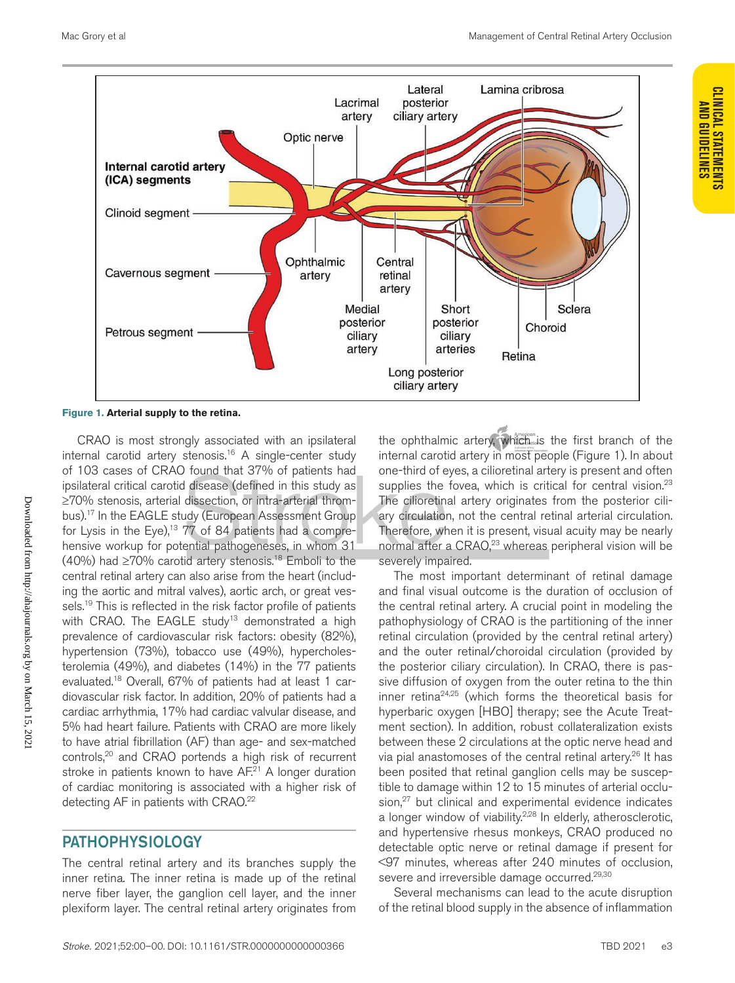

**Figure 1. Arterial supply to the retina.**

CRAO is most strongly associated with an ipsilateral internal carotid artery stenosis.16 A single-center study of 103 cases of CRAO found that 37% of patients had ipsilateral critical carotid disease (defined in this study as ≥70% stenosis, arterial dissection, or intra-arterial thrombus).17 In the EAGLE study (European Assessment Group for Lysis in the Eye),<sup>13</sup>  $77$  of 84 patients had a comprehensive workup for potential pathogeneses, in whom 31 (40%) had  $\geq$ 70% carotid artery stenosis.<sup>18</sup> Emboli to the central retinal artery can also arise from the heart (including the aortic and mitral valves), aortic arch, or great vessels.<sup>19</sup> This is reflected in the risk factor profile of patients with CRAO. The EAGLE study<sup>13</sup> demonstrated a high prevalence of cardiovascular risk factors: obesity (82%), hypertension (73%), tobacco use (49%), hypercholesterolemia (49%), and diabetes (14%) in the 77 patients evaluated.18 Overall, 67% of patients had at least 1 cardiovascular risk factor. In addition, 20% of patients had a cardiac arrhythmia, 17% had cardiac valvular disease, and 5% had heart failure. Patients with CRAO are more likely to have atrial fibrillation (AF) than age- and sex-matched controls,<sup>20</sup> and CRAO portends a high risk of recurrent stroke in patients known to have AF.<sup>21</sup> A longer duration of cardiac monitoring is associated with a higher risk of detecting AF in patients with CRAO.<sup>22</sup>

# PATHOPHYSIOLOGY

The central retinal artery and its branches supply the inner retina. The inner retina is made up of the retinal nerve fiber layer, the ganglion cell layer, and the inner plexiform layer. The central retinal artery originates from the ophthalmic artery, which is the first branch of the internal carotid artery in most people (Figure 1). In about one-third of eyes, a cilioretinal artery is present and often supplies the fovea, which is critical for central vision.<sup>23</sup> The cilioretinal artery originates from the posterior ciliary circulation, not the central retinal arterial circulation. Therefore, when it is present, visual acuity may be nearly normal after a CRAO,<sup>23</sup> whereas peripheral vision will be severely impaired.

The most important determinant of retinal damage and final visual outcome is the duration of occlusion of the central retinal artery. A crucial point in modeling the pathophysiology of CRAO is the partitioning of the inner retinal circulation (provided by the central retinal artery) and the outer retinal/choroidal circulation (provided by the posterior ciliary circulation). In CRAO, there is passive diffusion of oxygen from the outer retina to the thin inner retina24,25 (which forms the theoretical basis for hyperbaric oxygen [HBO] therapy; see the Acute Treatment section). In addition, robust collateralization exists between these 2 circulations at the optic nerve head and via pial anastomoses of the central retinal artery.26 It has been posited that retinal ganglion cells may be susceptible to damage within 12 to 15 minutes of arterial occlusion,<sup>27</sup> but clinical and experimental evidence indicates a longer window of viability.<sup>2,28</sup> In elderly, atherosclerotic, and hypertensive rhesus monkeys, CRAO produced no detectable optic nerve or retinal damage if present for <97 minutes, whereas after 240 minutes of occlusion, severe and irreversible damage occurred.<sup>29,30</sup>

Several mechanisms can lead to the acute disruption of the retinal blood supply in the absence of inflammation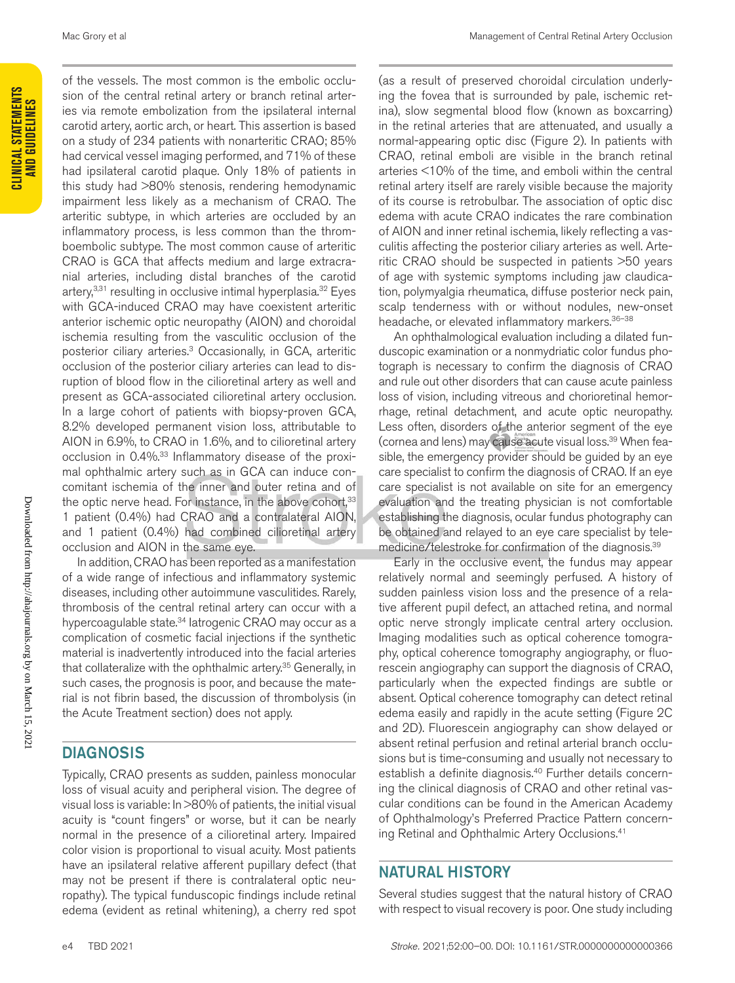of the vessels. The most common is the embolic occlusion of the central retinal artery or branch retinal arteries via remote embolization from the ipsilateral internal carotid artery, aortic arch, or heart. This assertion is based on a study of 234 patients with nonarteritic CRAO; 85% had cervical vessel imaging performed, and 71% of these had ipsilateral carotid plaque. Only 18% of patients in this study had >80% stenosis, rendering hemodynamic impairment less likely as a mechanism of CRAO. The arteritic subtype, in which arteries are occluded by an inflammatory process, is less common than the thromboembolic subtype. The most common cause of arteritic CRAO is GCA that affects medium and large extracranial arteries, including distal branches of the carotid artery, $3,31$  resulting in occlusive intimal hyperplasia. $32$  Eyes with GCA-induced CRAO may have coexistent arteritic anterior ischemic optic neuropathy (AION) and choroidal ischemia resulting from the vasculitic occlusion of the posterior ciliary arteries.3 Occasionally, in GCA, arteritic occlusion of the posterior ciliary arteries can lead to disruption of blood flow in the cilioretinal artery as well and present as GCA-associated cilioretinal artery occlusion. In a large cohort of patients with biopsy-proven GCA, 8.2% developed permanent vision loss, attributable to AION in 6.9%, to CRAO in 1.6%, and to cilioretinal artery occlusion in 0.4%.33 Inflammatory disease of the proximal ophthalmic artery such as in GCA can induce concomitant ischemia of the inner and outer retina and of the optic nerve head. For instance, in the above cohort,<sup>33</sup> 1 patient (0.4%) had CRAO and a contralateral AION, and 1 patient (0.4%) had combined cilioretinal artery occlusion and AION in the same eye.

In addition, CRAO has been reported as a manifestation of a wide range of infectious and inflammatory systemic diseases, including other autoimmune vasculitides. Rarely, thrombosis of the central retinal artery can occur with a hypercoagulable state.<sup>34</sup> latrogenic CRAO may occur as a complication of cosmetic facial injections if the synthetic material is inadvertently introduced into the facial arteries that collateralize with the ophthalmic artery.<sup>35</sup> Generally, in such cases, the prognosis is poor, and because the material is not fibrin based, the discussion of thrombolysis (in the Acute Treatment section) does not apply.

# **DIAGNOSIS**

Typically, CRAO presents as sudden, painless monocular loss of visual acuity and peripheral vision. The degree of visual loss is variable: In >80% of patients, the initial visual acuity is "count fingers" or worse, but it can be nearly normal in the presence of a cilioretinal artery. Impaired color vision is proportional to visual acuity. Most patients have an ipsilateral relative afferent pupillary defect (that may not be present if there is contralateral optic neuropathy). The typical funduscopic findings include retinal edema (evident as retinal whitening), a cherry red spot

(as a result of preserved choroidal circulation underlying the fovea that is surrounded by pale, ischemic retina), slow segmental blood flow (known as boxcarring) in the retinal arteries that are attenuated, and usually a normal-appearing optic disc (Figure 2). In patients with CRAO, retinal emboli are visible in the branch retinal arteries <10% of the time, and emboli within the central retinal artery itself are rarely visible because the majority of its course is retrobulbar. The association of optic disc edema with acute CRAO indicates the rare combination of AION and inner retinal ischemia, likely reflecting a vasculitis affecting the posterior ciliary arteries as well. Arteritic CRAO should be suspected in patients >50 years of age with systemic symptoms including jaw claudication, polymyalgia rheumatica, diffuse posterior neck pain, scalp tenderness with or without nodules, new-onset headache, or elevated inflammatory markers. 36-38

An ophthalmological evaluation including a dilated funduscopic examination or a nonmydriatic color fundus photograph is necessary to confirm the diagnosis of CRAO and rule out other disorders that can cause acute painless loss of vision, including vitreous and chorioretinal hemorrhage, retinal detachment, and acute optic neuropathy. Less often, disorders of the anterior segment of the eye (cornea and lens) may cause acute visual loss.<sup>39</sup> When feasible, the emergency provider should be guided by an eye care specialist to confirm the diagnosis of CRAO. If an eye care specialist is not available on site for an emergency evaluation and the treating physician is not comfortable establishing the diagnosis, ocular fundus photography can be obtained and relayed to an eye care specialist by telemedicine/telestroke for confirmation of the diagnosis.39

Early in the occlusive event, the fundus may appear relatively normal and seemingly perfused. A history of sudden painless vision loss and the presence of a relative afferent pupil defect, an attached retina, and normal optic nerve strongly implicate central artery occlusion. Imaging modalities such as optical coherence tomography, optical coherence tomography angiography, or fluorescein angiography can support the diagnosis of CRAO, particularly when the expected findings are subtle or absent. Optical coherence tomography can detect retinal edema easily and rapidly in the acute setting (Figure 2C and 2D). Fluorescein angiography can show delayed or absent retinal perfusion and retinal arterial branch occlusions but is time-consuming and usually not necessary to establish a definite diagnosis.<sup>40</sup> Further details concerning the clinical diagnosis of CRAO and other retinal vascular conditions can be found in the American Academy of Ophthalmology's Preferred Practice Pattern concerning Retinal and Ophthalmic Artery Occlusions.<sup>41</sup>

# NATURAL HISTORY

Several studies suggest that the natural history of CRAO with respect to visual recovery is poor. One study including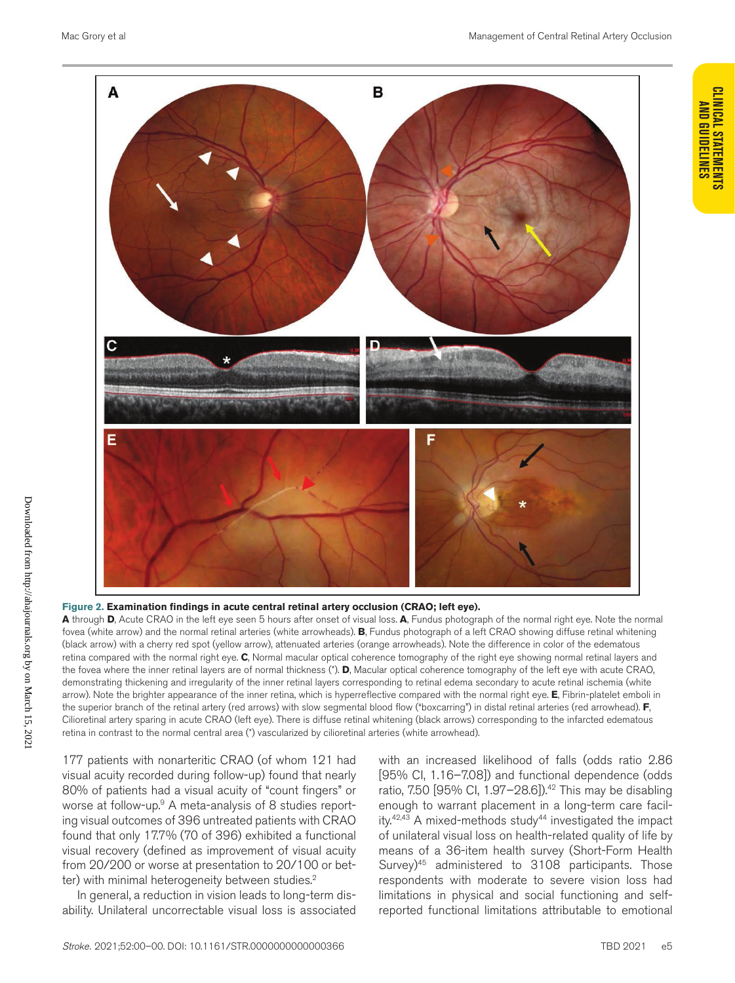

#### **Figure 2. Examination findings in acute central retinal artery occlusion (CRAO; left eye).**

**A** through **D**, Acute CRAO in the left eye seen 5 hours after onset of visual loss. **A**, Fundus photograph of the normal right eye. Note the normal fovea (white arrow) and the normal retinal arteries (white arrowheads). **B**, Fundus photograph of a left CRAO showing diffuse retinal whitening (black arrow) with a cherry red spot (yellow arrow), attenuated arteries (orange arrowheads). Note the difference in color of the edematous retina compared with the normal right eye. **C**, Normal macular optical coherence tomography of the right eye showing normal retinal layers and the fovea where the inner retinal layers are of normal thickness (\*). **D**, Macular optical coherence tomography of the left eye with acute CRAO, demonstrating thickening and irregularity of the inner retinal layers corresponding to retinal edema secondary to acute retinal ischemia (white arrow). Note the brighter appearance of the inner retina, which is hyperreflective compared with the normal right eye. **E**, Fibrin-platelet emboli in the superior branch of the retinal artery (red arrows) with slow segmental blood flow ("boxcarring") in distal retinal arteries (red arrowhead). **F**, Cilioretinal artery sparing in acute CRAO (left eye). There is diffuse retinal whitening (black arrows) corresponding to the infarcted edematous retina in contrast to the normal central area (\*) vascularized by cilioretinal arteries (white arrowhead).

177 patients with nonarteritic CRAO (of whom 121 had visual acuity recorded during follow-up) found that nearly 80% of patients had a visual acuity of "count fingers" or worse at follow-up.<sup>9</sup> A meta-analysis of 8 studies reporting visual outcomes of 396 untreated patients with CRAO found that only 17.7% (70 of 396) exhibited a functional visual recovery (defined as improvement of visual acuity from 20/200 or worse at presentation to 20/100 or better) with minimal heterogeneity between studies.<sup>2</sup>

In general, a reduction in vision leads to long-term disability. Unilateral uncorrectable visual loss is associated

with an increased likelihood of falls (odds ratio 2.86 [95% CI, 1.16–7.08]) and functional dependence (odds ratio, 7.50 [95% Cl, 1.97-28.6]).<sup>42</sup> This may be disabling enough to warrant placement in a long-term care facility.<sup>42,43</sup> A mixed-methods study<sup>44</sup> investigated the impact of unilateral visual loss on health-related quality of life by means of a 36-item health survey (Short-Form Health Survey)45 administered to 3108 participants. Those respondents with moderate to severe vision loss had limitations in physical and social functioning and selfreported functional limitations attributable to emotional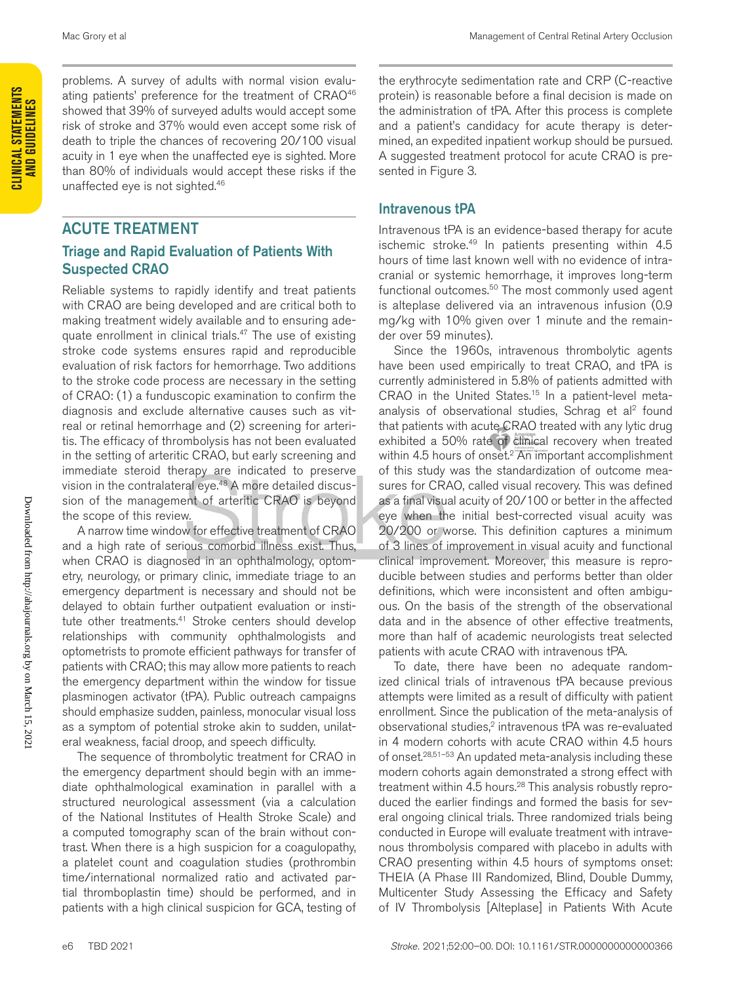problems. A survey of adults with normal vision evaluating patients' preference for the treatment of CRAO<sup>46</sup> showed that 39% of surveyed adults would accept some risk of stroke and 37% would even accept some risk of death to triple the chances of recovering 20/100 visual acuity in 1 eye when the unaffected eye is sighted. More than 80% of individuals would accept these risks if the unaffected eye is not sighted.46

# ACUTE TREATMENT

#### Triage and Rapid Evaluation of Patients With Suspected CRAO

Reliable systems to rapidly identify and treat patients with CRAO are being developed and are critical both to making treatment widely available and to ensuring adequate enrollment in clinical trials.<sup>47</sup> The use of existing stroke code systems ensures rapid and reproducible evaluation of risk factors for hemorrhage. Two additions to the stroke code process are necessary in the setting of CRAO: (1) a funduscopic examination to confirm the diagnosis and exclude alternative causes such as vitreal or retinal hemorrhage and (2) screening for arteritis. The efficacy of thrombolysis has not been evaluated in the setting of arteritic CRAO, but early screening and immediate steroid therapy are indicated to preserve vision in the contralateral eye.48 A more detailed discussion of the management of arteritic CRAO is beyond the scope of this review.

A narrow time window for effective treatment of CRAO and a high rate of serious comorbid illness exist. Thus, when CRAO is diagnosed in an ophthalmology, optometry, neurology, or primary clinic, immediate triage to an emergency department is necessary and should not be delayed to obtain further outpatient evaluation or institute other treatments.<sup>41</sup> Stroke centers should develop relationships with community ophthalmologists and optometrists to promote efficient pathways for transfer of patients with CRAO; this may allow more patients to reach the emergency department within the window for tissue plasminogen activator (tPA). Public outreach campaigns should emphasize sudden, painless, monocular visual loss as a symptom of potential stroke akin to sudden, unilateral weakness, facial droop, and speech difficulty.

The sequence of thrombolytic treatment for CRAO in the emergency department should begin with an immediate ophthalmological examination in parallel with a structured neurological assessment (via a calculation of the National Institutes of Health Stroke Scale) and a computed tomography scan of the brain without contrast. When there is a high suspicion for a coagulopathy, a platelet count and coagulation studies (prothrombin time/international normalized ratio and activated partial thromboplastin time) should be performed, and in patients with a high clinical suspicion for GCA, testing of

the erythrocyte sedimentation rate and CRP (C-reactive protein) is reasonable before a final decision is made on the administration of tPA. After this process is complete and a patient's candidacy for acute therapy is determined, an expedited inpatient workup should be pursued. A suggested treatment protocol for acute CRAO is presented in Figure 3.

#### Intravenous tPA

Intravenous tPA is an evidence-based therapy for acute ischemic stroke.<sup>49</sup> In patients presenting within 4.5 hours of time last known well with no evidence of intracranial or systemic hemorrhage, it improves long-term functional outcomes.<sup>50</sup> The most commonly used agent is alteplase delivered via an intravenous infusion (0.9 mg/kg with 10% given over 1 minute and the remainder over 59 minutes).

Since the 1960s, intravenous thrombolytic agents have been used empirically to treat CRAO, and tPA is currently administered in 5.8% of patients admitted with CRAO in the United States.<sup>15</sup> In a patient-level metaanalysis of observational studies, Schrag et al<sup>2</sup> found that patients with acute CRAO treated with any lytic drug exhibited a 50% rate of clinical recovery when treated within 4.5 hours of onset.<sup>2</sup> An important accomplishment of this study was the standardization of outcome measures for CRAO, called visual recovery. This was defined as a final visual acuity of 20/100 or better in the affected eye when the initial best-corrected visual acuity was 20/200 or worse. This definition captures a minimum of 3 lines of improvement in visual acuity and functional clinical improvement. Moreover, this measure is reproducible between studies and performs better than older definitions, which were inconsistent and often ambiguous. On the basis of the strength of the observational data and in the absence of other effective treatments, more than half of academic neurologists treat selected patients with acute CRAO with intravenous tPA.

To date, there have been no adequate randomized clinical trials of intravenous tPA because previous attempts were limited as a result of difficulty with patient enrollment. Since the publication of the meta-analysis of observational studies,<sup>2</sup> intravenous tPA was re-evaluated in 4 modern cohorts with acute CRAO within 4.5 hours of onset.28,51–53 An updated meta-analysis including these modern cohorts again demonstrated a strong effect with treatment within 4.5 hours.<sup>28</sup> This analysis robustly reproduced the earlier findings and formed the basis for several ongoing clinical trials. Three randomized trials being conducted in Europe will evaluate treatment with intravenous thrombolysis compared with placebo in adults with CRAO presenting within 4.5 hours of symptoms onset: THEIA (A Phase III Randomized, Blind, Double Dummy, Multicenter Study Assessing the Efficacy and Safety of IV Thrombolysis [Alteplase] in Patients With Acute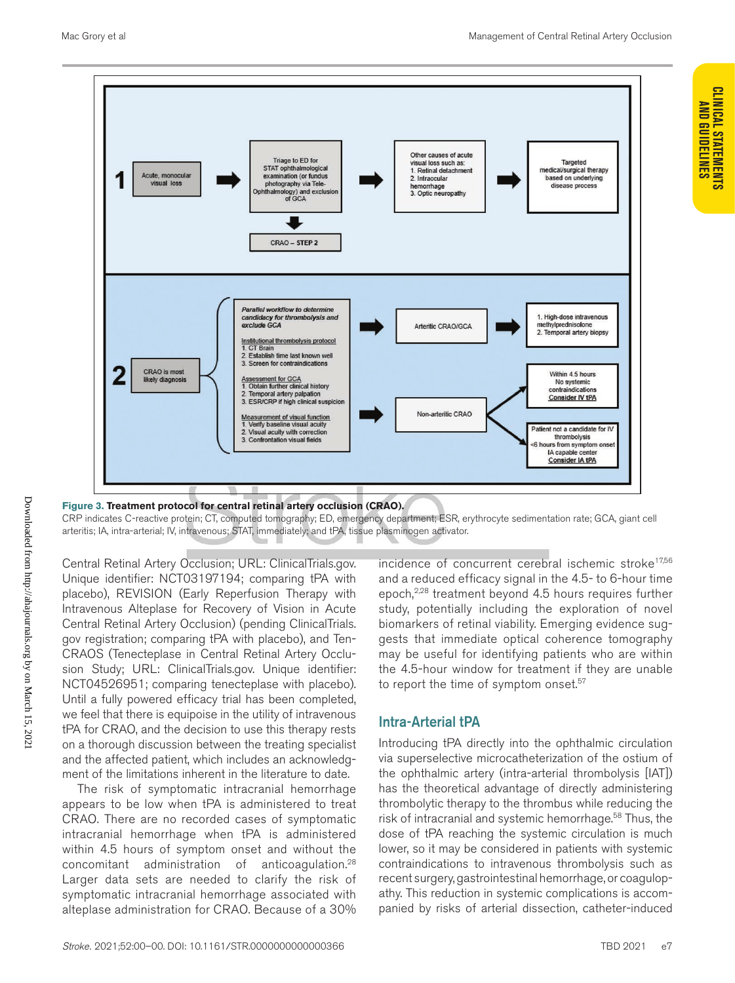**CLINICAL STATEMENTS AND GUIDELINES**

**CLINICAL STATEMENTS AND GUIDELINES** 



**Figure 3. Treatment protocol for central retinal artery occlusion (CRAO).** CRP indicates C-reactive protein; CT, computed tomography; ED, emergency department; ESR, erythrocyte sedimentation rate; GCA, giant cell arteritis; IA, intra-arterial; IV, intravenous; STAT, immediately; and tPA, tissue plasminogen activator.

Central Retinal Artery Occlusion; URL: ClinicalTrials.gov. Unique identifier: NCT03197194; comparing tPA with placebo), REVISION (Early Reperfusion Therapy with Intravenous Alteplase for Recovery of Vision in Acute Central Retinal Artery Occlusion) (pending ClinicalTrials. gov registration; comparing tPA with placebo), and Ten-CRAOS (Tenecteplase in Central Retinal Artery Occlusion Study; URL: ClinicalTrials.gov. Unique identifier: NCT04526951; comparing tenecteplase with placebo). Until a fully powered efficacy trial has been completed, we feel that there is equipoise in the utility of intravenous tPA for CRAO, and the decision to use this therapy rests on a thorough discussion between the treating specialist and the affected patient, which includes an acknowledgment of the limitations inherent in the literature to date.

The risk of symptomatic intracranial hemorrhage appears to be low when tPA is administered to treat CRAO. There are no recorded cases of symptomatic intracranial hemorrhage when tPA is administered within 4.5 hours of symptom onset and without the concomitant administration of anticoagulation.28 Larger data sets are needed to clarify the risk of symptomatic intracranial hemorrhage associated with alteplase administration for CRAO. Because of a 30%

incidence of concurrent cerebral ischemic stroke<sup>17,56</sup> and a reduced efficacy signal in the 4.5- to 6-hour time epoch,<sup>2,28</sup> treatment beyond 4.5 hours requires further study, potentially including the exploration of novel biomarkers of retinal viability. Emerging evidence suggests that immediate optical coherence tomography may be useful for identifying patients who are within the 4.5-hour window for treatment if they are unable to report the time of symptom onset.<sup>57</sup>

# Intra-Arterial tPA

Introducing tPA directly into the ophthalmic circulation via superselective microcatheterization of the ostium of the ophthalmic artery (intra-arterial thrombolysis [IAT]) has the theoretical advantage of directly administering thrombolytic therapy to the thrombus while reducing the risk of intracranial and systemic hemorrhage.<sup>58</sup> Thus, the dose of tPA reaching the systemic circulation is much lower, so it may be considered in patients with systemic contraindications to intravenous thrombolysis such as recent surgery, gastrointestinal hemorrhage, or coagulopathy. This reduction in systemic complications is accompanied by risks of arterial dissection, catheter-induced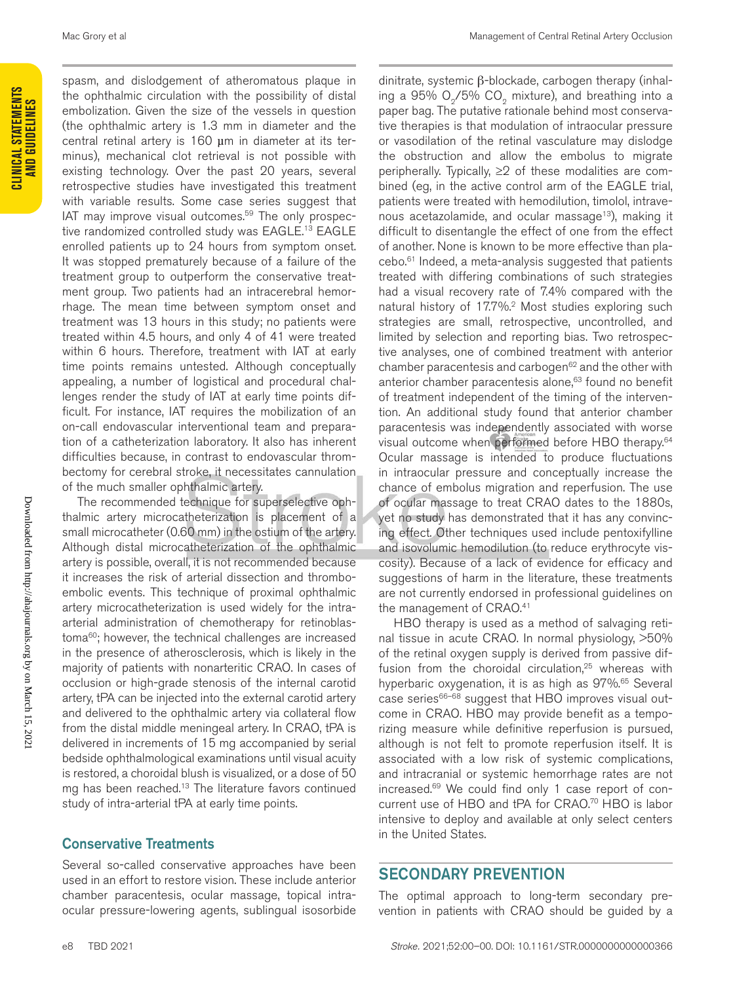spasm, and dislodgement of atheromatous plaque in the ophthalmic circulation with the possibility of distal embolization. Given the size of the vessels in question (the ophthalmic artery is 1.3 mm in diameter and the central retinal artery is 160 µm in diameter at its terminus), mechanical clot retrieval is not possible with existing technology. Over the past 20 years, several retrospective studies have investigated this treatment with variable results. Some case series suggest that IAT may improve visual outcomes.59 The only prospective randomized controlled study was EAGLE.<sup>13</sup> EAGLE enrolled patients up to 24 hours from symptom onset. It was stopped prematurely because of a failure of the treatment group to outperform the conservative treatment group. Two patients had an intracerebral hemorrhage. The mean time between symptom onset and treatment was 13 hours in this study; no patients were treated within 4.5 hours, and only 4 of 41 were treated within 6 hours. Therefore, treatment with IAT at early time points remains untested. Although conceptually appealing, a number of logistical and procedural challenges render the study of IAT at early time points difficult. For instance, IAT requires the mobilization of an on-call endovascular interventional team and preparation of a catheterization laboratory. It also has inherent difficulties because, in contrast to endovascular thrombectomy for cerebral stroke, it necessitates cannulation of the much smaller ophthalmic artery.

The recommended technique for superselective ophthalmic artery microcatheterization is placement of a small microcatheter (0.60 mm) in the ostium of the artery. Although distal microcatheterization of the ophthalmic artery is possible, overall, it is not recommended because it increases the risk of arterial dissection and thromboembolic events. This technique of proximal ophthalmic artery microcatheterization is used widely for the intraarterial administration of chemotherapy for retinoblastoma<sup>60</sup>; however, the technical challenges are increased in the presence of atherosclerosis, which is likely in the majority of patients with nonarteritic CRAO. In cases of occlusion or high-grade stenosis of the internal carotid artery, tPA can be injected into the external carotid artery and delivered to the ophthalmic artery via collateral flow from the distal middle meningeal artery. In CRAO, tPA is delivered in increments of 15 mg accompanied by serial bedside ophthalmological examinations until visual acuity is restored, a choroidal blush is visualized, or a dose of 50 mg has been reached.<sup>13</sup> The literature favors continued study of intra-arterial tPA at early time points.

#### Conservative Treatments

Several so-called conservative approaches have been used in an effort to restore vision. These include anterior chamber paracentesis, ocular massage, topical intraocular pressure-lowering agents, sublingual isosorbide

dinitrate, systemic β-blockade, carbogen therapy (inhaling a  $95\%$  O<sub>2</sub>/5% CO<sub>2</sub> mixture), and breathing into a paper bag. The putative rationale behind most conservative therapies is that modulation of intraocular pressure or vasodilation of the retinal vasculature may dislodge the obstruction and allow the embolus to migrate peripherally. Typically, ≥2 of these modalities are combined (eg, in the active control arm of the EAGLE trial, patients were treated with hemodilution, timolol, intravenous acetazolamide, and ocular massage<sup>13</sup>), making it difficult to disentangle the effect of one from the effect of another. None is known to be more effective than placebo.61 Indeed, a meta-analysis suggested that patients treated with differing combinations of such strategies had a visual recovery rate of 7.4% compared with the natural history of 17.7%.<sup>2</sup> Most studies exploring such strategies are small, retrospective, uncontrolled, and limited by selection and reporting bias. Two retrospective analyses, one of combined treatment with anterior chamber paracentesis and carbogen<sup>62</sup> and the other with anterior chamber paracentesis alone,<sup>63</sup> found no benefit of treatment independent of the timing of the intervention. An additional study found that anterior chamber paracentesis was independently associated with worse visual outcome when performed before HBO therapy.<sup>64</sup> Ocular massage is intended to produce fluctuations in intraocular pressure and conceptually increase the chance of embolus migration and reperfusion. The use of ocular massage to treat CRAO dates to the 1880s, yet no study has demonstrated that it has any convincing effect. Other techniques used include pentoxifylline and isovolumic hemodilution (to reduce erythrocyte viscosity). Because of a lack of evidence for efficacy and suggestions of harm in the literature, these treatments are not currently endorsed in professional guidelines on the management of CRAO.<sup>41</sup>

HBO therapy is used as a method of salvaging retinal tissue in acute CRAO. In normal physiology, >50% of the retinal oxygen supply is derived from passive diffusion from the choroidal circulation,<sup>25</sup> whereas with hyperbaric oxygenation, it is as high as 97%.<sup>65</sup> Several case series $66-68$  suggest that HBO improves visual outcome in CRAO. HBO may provide benefit as a temporizing measure while definitive reperfusion is pursued, although is not felt to promote reperfusion itself. It is associated with a low risk of systemic complications, and intracranial or systemic hemorrhage rates are not increased.69 We could find only 1 case report of concurrent use of HBO and tPA for CRAO.<sup>70</sup> HBO is labor intensive to deploy and available at only select centers in the United States.

#### SECONDARY PREVENTION

The optimal approach to long-term secondary prevention in patients with CRAO should be guided by a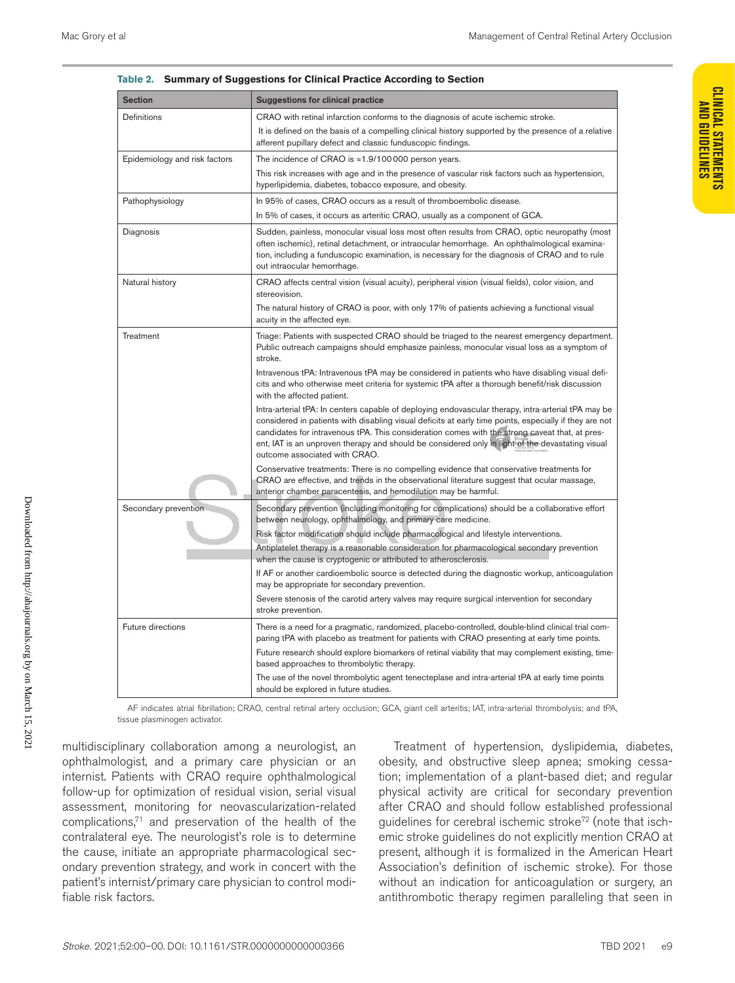| iabie z.                      | Summary of Suggestions for Chincal Practice According to Section                                                                                                                                                                                                                                                                                                                                                                                     |  |  |  |  |  |
|-------------------------------|------------------------------------------------------------------------------------------------------------------------------------------------------------------------------------------------------------------------------------------------------------------------------------------------------------------------------------------------------------------------------------------------------------------------------------------------------|--|--|--|--|--|
| <b>Section</b>                | <b>Suggestions for clinical practice</b>                                                                                                                                                                                                                                                                                                                                                                                                             |  |  |  |  |  |
| Definitions                   | CRAO with retinal infarction conforms to the diagnosis of acute ischemic stroke.                                                                                                                                                                                                                                                                                                                                                                     |  |  |  |  |  |
|                               | It is defined on the basis of a compelling clinical history supported by the presence of a relative<br>afferent pupillary defect and classic funduscopic findings.                                                                                                                                                                                                                                                                                   |  |  |  |  |  |
| Epidemiology and risk factors | The incidence of CRAO is $\approx$ 1.9/100000 person years.                                                                                                                                                                                                                                                                                                                                                                                          |  |  |  |  |  |
|                               | This risk increases with age and in the presence of vascular risk factors such as hypertension,<br>hyperlipidemia, diabetes, tobacco exposure, and obesity.                                                                                                                                                                                                                                                                                          |  |  |  |  |  |
| Pathophysiology               | In 95% of cases, CRAO occurs as a result of thromboembolic disease.                                                                                                                                                                                                                                                                                                                                                                                  |  |  |  |  |  |
|                               | In 5% of cases, it occurs as arteritic CRAO, usually as a component of GCA.                                                                                                                                                                                                                                                                                                                                                                          |  |  |  |  |  |
| Diagnosis                     | Sudden, painless, monocular visual loss most often results from CRAO, optic neuropathy (most<br>often ischemic), retinal detachment, or intraocular hemorrhage. An ophthalmological examina-<br>tion, including a funduscopic examination, is necessary for the diagnosis of CRAO and to rule<br>out intraocular hemorrhage.                                                                                                                         |  |  |  |  |  |
| Natural history               | CRAO affects central vision (visual acuity), peripheral vision (visual fields), color vision, and<br>stereovision.                                                                                                                                                                                                                                                                                                                                   |  |  |  |  |  |
|                               | The natural history of CRAO is poor, with only 17% of patients achieving a functional visual<br>acuity in the affected eye.                                                                                                                                                                                                                                                                                                                          |  |  |  |  |  |
| Treatment                     | Triage: Patients with suspected CRAO should be triaged to the nearest emergency department.<br>Public outreach campaigns should emphasize painless, monocular visual loss as a symptom of<br>stroke.                                                                                                                                                                                                                                                 |  |  |  |  |  |
|                               | Intravenous tPA: Intravenous tPA may be considered in patients who have disabling visual defi-<br>cits and who otherwise meet criteria for systemic tPA after a thorough benefit/risk discussion<br>with the affected patient.                                                                                                                                                                                                                       |  |  |  |  |  |
|                               | Intra-arterial tPA: In centers capable of deploying endovascular therapy, intra-arterial tPA may be<br>considered in patients with disabling visual deficits at early time points, especially if they are not<br>candidates for intravenous tPA. This consideration comes with the strong caveat that, at pres-<br>ent, IAT is an unproven therapy and should be considered only in light of the devastating visual<br>outcome associated with CRAO. |  |  |  |  |  |
|                               | Conservative treatments: There is no compelling evidence that conservative treatments for<br>CRAO are effective, and trends in the observational literature suggest that ocular massage,<br>anterior chamber paracentesis, and hemodilution may be harmful.                                                                                                                                                                                          |  |  |  |  |  |
| Secondary prevention          | Secondary prevention (including monitoring for complications) should be a collaborative effort<br>between neurology, ophthalmology, and primary care medicine.                                                                                                                                                                                                                                                                                       |  |  |  |  |  |
|                               | Risk factor modification should include pharmacological and lifestyle interventions.                                                                                                                                                                                                                                                                                                                                                                 |  |  |  |  |  |
|                               | Antiplatelet therapy is a reasonable consideration for pharmacological secondary prevention<br>when the cause is cryptogenic or attributed to atherosclerosis.                                                                                                                                                                                                                                                                                       |  |  |  |  |  |
|                               | If AF or another cardioembolic source is detected during the diagnostic workup, anticoagulation<br>may be appropriate for secondary prevention.                                                                                                                                                                                                                                                                                                      |  |  |  |  |  |
|                               | Severe stenosis of the carotid artery valves may require surgical intervention for secondary<br>stroke prevention.                                                                                                                                                                                                                                                                                                                                   |  |  |  |  |  |
| Future directions             | There is a need for a pragmatic, randomized, placebo-controlled, double-blind clinical trial com-<br>paring tPA with placebo as treatment for patients with CRAO presenting at early time points.                                                                                                                                                                                                                                                    |  |  |  |  |  |
|                               | Future research should explore biomarkers of retinal viability that may complement existing, time-<br>based approaches to thrombolytic therapy.                                                                                                                                                                                                                                                                                                      |  |  |  |  |  |
|                               | The use of the novel thrombolytic agent tenecteplase and intra-arterial tPA at early time points<br>should be explored in future studies.                                                                                                                                                                                                                                                                                                            |  |  |  |  |  |
|                               |                                                                                                                                                                                                                                                                                                                                                                                                                                                      |  |  |  |  |  |

| Table 2. Summary of Suggestions for Clinical Practice According to Section |
|----------------------------------------------------------------------------|
|                                                                            |

AF indicates atrial fibrillation; CRAO, central retinal artery occlusion; GCA, giant cell arteritis; IAT, intra-arterial thrombolysis; and tPA, tissue plasminogen activator.

multidisciplinary collaboration among a neurologist, an ophthalmologist, and a primary care physician or an internist. Patients with CRAO require ophthalmological follow-up for optimization of residual vision, serial visual assessment, monitoring for neovascularization-related complications, $71$  and preservation of the health of the contralateral eye. The neurologist's role is to determine the cause, initiate an appropriate pharmacological secondary prevention strategy, and work in concert with the patient's internist/primary care physician to control modifiable risk factors.

Treatment of hypertension, dyslipidemia, diabetes, obesity, and obstructive sleep apnea; smoking cessation; implementation of a plant-based diet; and regular physical activity are critical for secondary prevention after CRAO and should follow established professional guidelines for cerebral ischemic stroke72 (note that ischemic stroke guidelines do not explicitly mention CRAO at present, although it is formalized in the American Heart Association's definition of ischemic stroke). For those without an indication for anticoagulation or surgery, an antithrombotic therapy regimen paralleling that seen in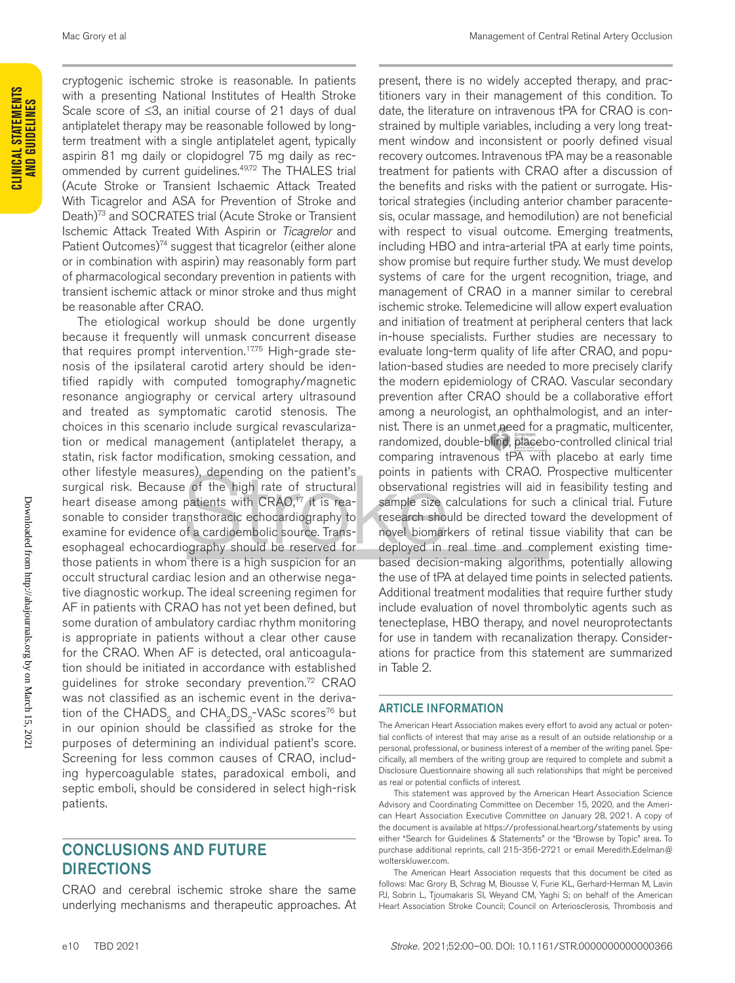cryptogenic ischemic stroke is reasonable. In patients with a presenting National Institutes of Health Stroke Scale score of ≤3, an initial course of 21 days of dual antiplatelet therapy may be reasonable followed by longterm treatment with a single antiplatelet agent, typically aspirin 81 mg daily or clopidogrel 75 mg daily as recommended by current guidelines.<sup>49,72</sup> The THALES trial (Acute Stroke or Transient Ischaemic Attack Treated With Ticagrelor and ASA for Prevention of Stroke and Death)<sup>73</sup> and SOCRATES trial (Acute Stroke or Transient Ischemic Attack Treated With Aspirin or *Ticagrelor* and Patient Outcomes)<sup>74</sup> suggest that ticagrelor (either alone or in combination with aspirin) may reasonably form part of pharmacological secondary prevention in patients with transient ischemic attack or minor stroke and thus might be reasonable after CRAO.

The etiological workup should be done urgently because it frequently will unmask concurrent disease that requires prompt intervention.<sup>17,75</sup> High-grade stenosis of the ipsilateral carotid artery should be identified rapidly with computed tomography/magnetic resonance angiography or cervical artery ultrasound and treated as symptomatic carotid stenosis. The choices in this scenario include surgical revascularization or medical management (antiplatelet therapy, a statin, risk factor modification, smoking cessation, and other lifestyle measures), depending on the patient's surgical risk. Because of the high rate of structural heart disease among patients with CRAO,<sup>17</sup> it is reasonable to consider transthoracic echocardiography to examine for evidence of a cardioembolic source. Transesophageal echocardiography should be reserved for those patients in whom there is a high suspicion for an occult structural cardiac lesion and an otherwise negative diagnostic workup. The ideal screening regimen for AF in patients with CRAO has not yet been defined, but some duration of ambulatory cardiac rhythm monitoring is appropriate in patients without a clear other cause for the CRAO. When AF is detected, oral anticoagulation should be initiated in accordance with established guidelines for stroke secondary prevention.<sup>72</sup> CRAO was not classified as an ischemic event in the derivation of the CHADS<sub>o</sub> and CHA<sub>0</sub>DS<sub>o</sub>-VASc scores<sup>76</sup> but in our opinion should be classified as stroke for the purposes of determining an individual patient's score. Screening for less common causes of CRAO, including hypercoagulable states, paradoxical emboli, and septic emboli, should be considered in select high-risk patients.

# CONCLUSIONS AND FUTURE DIRECTIONS

CRAO and cerebral ischemic stroke share the same underlying mechanisms and therapeutic approaches. At

present, there is no widely accepted therapy, and practitioners vary in their management of this condition. To date, the literature on intravenous tPA for CRAO is constrained by multiple variables, including a very long treatment window and inconsistent or poorly defined visual recovery outcomes. Intravenous tPA may be a reasonable treatment for patients with CRAO after a discussion of the benefits and risks with the patient or surrogate. Historical strategies (including anterior chamber paracentesis, ocular massage, and hemodilution) are not beneficial with respect to visual outcome. Emerging treatments, including HBO and intra-arterial tPA at early time points, show promise but require further study. We must develop systems of care for the urgent recognition, triage, and management of CRAO in a manner similar to cerebral ischemic stroke. Telemedicine will allow expert evaluation and initiation of treatment at peripheral centers that lack in-house specialists. Further studies are necessary to evaluate long-term quality of life after CRAO, and population-based studies are needed to more precisely clarify the modern epidemiology of CRAO. Vascular secondary prevention after CRAO should be a collaborative effort among a neurologist, an ophthalmologist, and an internist. There is an unmet need for a pragmatic, multicenter, randomized, double-blind, placebo-controlled clinical trial comparing intravenous tPA with placebo at early time points in patients with CRAO. Prospective multicenter observational registries will aid in feasibility testing and sample size calculations for such a clinical trial. Future research should be directed toward the development of novel biomarkers of retinal tissue viability that can be deployed in real time and complement existing timebased decision-making algorithms, potentially allowing the use of tPA at delayed time points in selected patients. Additional treatment modalities that require further study include evaluation of novel thrombolytic agents such as tenecteplase, HBO therapy, and novel neuroprotectants for use in tandem with recanalization therapy. Considerations for practice from this statement are summarized in Table 2.

#### ARTICLE INFORMATION

The American Heart Association makes every effort to avoid any actual or potential conflicts of interest that may arise as a result of an outside relationship or a personal, professional, or business interest of a member of the writing panel. Specifically, all members of the writing group are required to complete and submit a Disclosure Questionnaire showing all such relationships that might be perceived as real or potential conflicts of interest.

This statement was approved by the American Heart Association Science Advisory and Coordinating Committee on December 15, 2020, and the American Heart Association Executive Committee on January 28, 2021. A copy of the document is available at https://professional.heart.org/statements by using either "Search for Guidelines & Statements" or the "Browse by Topic" area. To purchase additional reprints, call 215-356-2721 or email [Meredith.Edelman@](mailto:Meredith.Edelman@wolterskluwer.com) [wolterskluwer.com](mailto:Meredith.Edelman@wolterskluwer.com).

The American Heart Association requests that this document be cited as follows: Mac Grory B, Schrag M, Biousse V, Furie KL, Gerhard-Herman M, Lavin PJ, Sobrin L, Tjoumakaris SI, Weyand CM, Yaghi S; on behalf of the American Heart Association Stroke Council; Council on Arteriosclerosis, Thrombosis and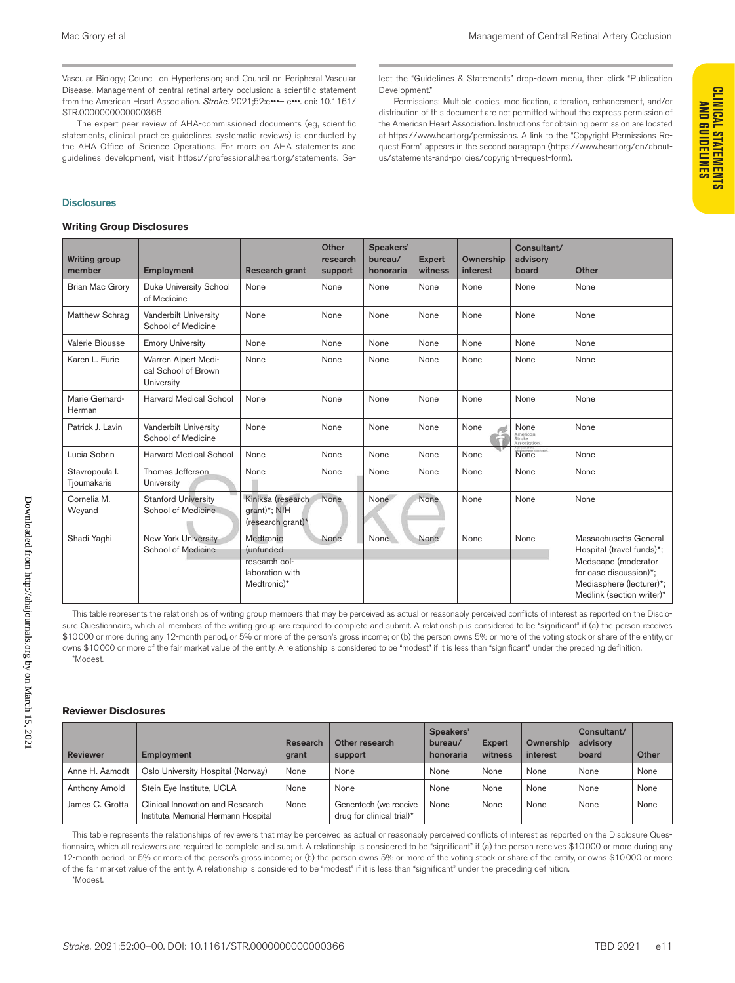Vascular Biology; Council on Hypertension; and Council on Peripheral Vascular Disease. Management of central retinal artery occlusion: a scientific statement from the American Heart Association. *Stroke*. 2021;52:e•••– e•••. doi: 10.1161/ STR.0000000000000366

The expert peer review of AHA-commissioned documents (eg, scientific statements, clinical practice guidelines, systematic reviews) is conducted by the AHA Office of Science Operations. For more on AHA statements and guidelines development, visit https://professional.heart.org/statements. Se-

#### **Disclosures**

#### **Writing Group Disclosures**

lect the "Guidelines & Statements" drop-down menu, then click "Publication Development."

Permissions: Multiple copies, modification, alteration, enhancement, and/or distribution of this document are not permitted without the express permission of the American Heart Association. Instructions for obtaining permission are located at https://www.heart.org/permissions. A link to the "Copyright Permissions Request Form" appears in the second paragraph (https://www.heart.org/en/aboutus/statements-and-policies/copyright-request-form).

| <b>Writing Group Disclosures</b> |                                                          |                                                                                   |                              |                                   |                          |                       |                                            |                                                                                                                                                              |  |
|----------------------------------|----------------------------------------------------------|-----------------------------------------------------------------------------------|------------------------------|-----------------------------------|--------------------------|-----------------------|--------------------------------------------|--------------------------------------------------------------------------------------------------------------------------------------------------------------|--|
| <b>Writing group</b><br>member   | <b>Employment</b>                                        | Research grant                                                                    | Other<br>research<br>support | Speakers'<br>bureau/<br>honoraria | <b>Expert</b><br>witness | Ownership<br>interest | Consultant/<br>advisory<br>board           | Other                                                                                                                                                        |  |
| <b>Brian Mac Grory</b>           | <b>Duke University School</b><br>of Medicine             | None                                                                              | None                         | None                              | None                     | None                  | None                                       | None                                                                                                                                                         |  |
| Matthew Schrag                   | Vanderbilt University<br>School of Medicine              | None                                                                              | None                         | None                              | None                     | None                  | None                                       | None                                                                                                                                                         |  |
| Valérie Biousse                  | <b>Emory University</b>                                  | None                                                                              | None                         | None                              | None                     | None                  | None                                       | None                                                                                                                                                         |  |
| Karen L. Furie                   | Warren Alpert Medi-<br>cal School of Brown<br>University | None                                                                              | None                         | None                              | None                     | None                  | None                                       | None                                                                                                                                                         |  |
| Marie Gerhard-<br>Herman         | <b>Harvard Medical School</b>                            | None                                                                              | None                         | None                              | None                     | None                  | None                                       | None                                                                                                                                                         |  |
| Patrick J. Lavin                 | Vanderbilt University<br>School of Medicine              | None                                                                              | None                         | None                              | None                     | None                  | None<br>American<br>Stroke<br>Association. | None                                                                                                                                                         |  |
| Lucia Sobrin                     | <b>Harvard Medical School</b>                            | None                                                                              | None                         | None                              | None                     | None                  | None                                       | None                                                                                                                                                         |  |
| Stavropoula I.<br>Tjoumakaris    | Thomas Jefferson.<br>University                          | None                                                                              | None                         | None                              | None                     | None                  | None                                       | None                                                                                                                                                         |  |
| Cornelia M.<br>Weyand            | <b>Stanford University</b><br>School of Medicine         | Kiniksa (research<br>qrant)*; NIH<br>(research grant)*                            | None                         | None                              | None                     | None                  | None                                       | None                                                                                                                                                         |  |
| Shadi Yaqhi                      | <b>New York University</b><br>School of Medicine         | Medtronic<br><i>(unfunded)</i><br>research col-<br>laboration with<br>Medtronic)* | None                         | None                              | None                     | None                  | None                                       | Massachusetts General<br>Hospital (travel funds)*;<br>Medscape (moderator<br>for case discussion)*;<br>Mediasphere (lecturer)*;<br>Medlink (section writer)* |  |

This table represents the relationships of writing group members that may be perceived as actual or reasonably perceived conflicts of interest as reported on the Disclosure Questionnaire, which all members of the writing group are required to complete and submit. A relationship is considered to be "significant" if (a) the person receives \$10000 or more during any 12-month period, or 5% or more of the person's gross income; or (b) the person owns 5% or more of the voting stock or share of the entity, or owns \$10000 or more of the fair market value of the entity. A relationship is considered to be "modest" if it is less than "significant" under the preceding definition. \*Modest.

#### **Reviewer Disclosures**

| <b>Reviewer</b> | Employment                                                               | Research<br>grant | Other research<br>support                          | Speakers'<br>bureau/<br>honoraria | <b>Expert</b><br>witness | Ownership<br>interest | Consultant/<br>advisory<br>board | Other |
|-----------------|--------------------------------------------------------------------------|-------------------|----------------------------------------------------|-----------------------------------|--------------------------|-----------------------|----------------------------------|-------|
| Anne H. Aamodt  | Oslo University Hospital (Norway)                                        | None              | None                                               | None                              | None                     | None                  | None                             | None  |
| Anthony Arnold  | Stein Eye Institute, UCLA                                                | None              | None                                               | None                              | None                     | None                  | None                             | None  |
| James C. Grotta | Clinical Innovation and Research<br>Institute, Memorial Hermann Hospital | None              | Genentech (we receive<br>drug for clinical trial)* | None                              | None                     | None                  | None                             | None  |

This table represents the relationships of reviewers that may be perceived as actual or reasonably perceived conflicts of interest as reported on the Disclosure Questionnaire, which all reviewers are required to complete and submit. A relationship is considered to be "significant" if (a) the person receives \$10000 or more during any 12-month period, or 5% or more of the person's gross income; or (b) the person owns 5% or more of the voting stock or share of the entity, or owns \$10000 or more of the fair market value of the entity. A relationship is considered to be "modest" if it is less than "significant" under the preceding definition.

\*Modest.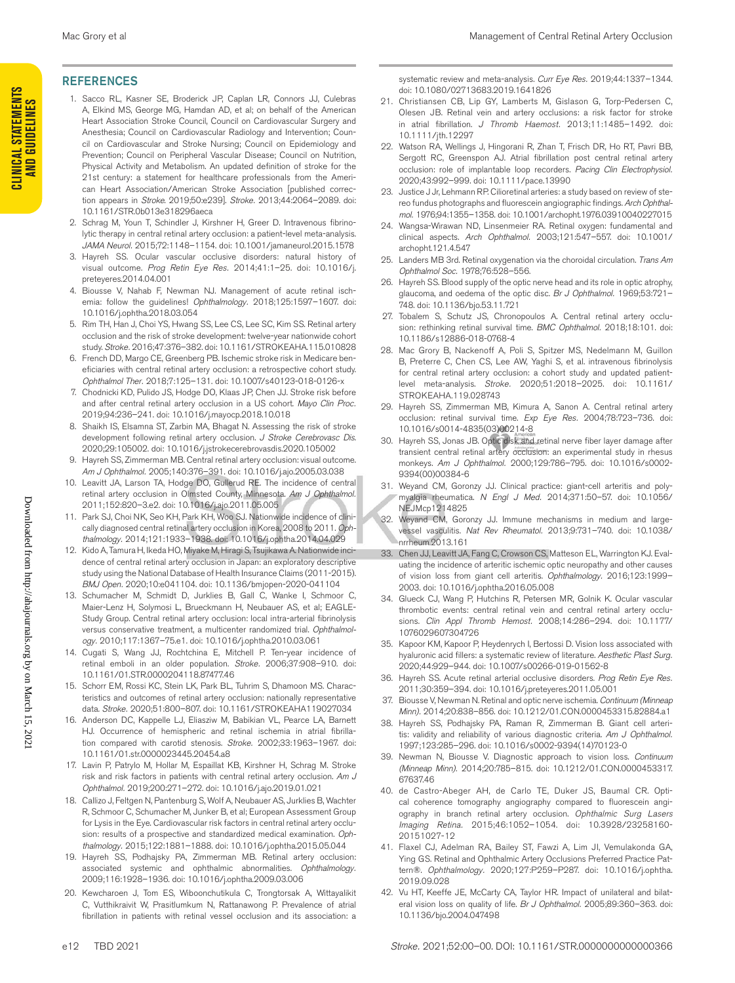#### REFERENCES

- 1. Sacco RL, Kasner SE, Broderick JP, Caplan LR, Connors JJ, Culebras A, Elkind MS, George MG, Hamdan AD, et al; on behalf of the American Heart Association Stroke Council, Council on Cardiovascular Surgery and Anesthesia; Council on Cardiovascular Radiology and Intervention; Council on Cardiovascular and Stroke Nursing; Council on Epidemiology and Prevention; Council on Peripheral Vascular Disease; Council on Nutrition, Physical Activity and Metabolism. An updated definition of stroke for the 21st century: a statement for healthcare professionals from the American Heart Association/American Stroke Association [published correction appears in *Stroke*. 2019;50:e239]. *Stroke.* 2013;44:2064–2089. doi: 10.1161/STR.0b013e318296aeca
- 2. Schrag M, Youn T, Schindler J, Kirshner H, Greer D. Intravenous fibrinolytic therapy in central retinal artery occlusion: a patient-level meta-analysis. *JAMA Neurol.* 2015;72:1148–1154. doi: 10.1001/jamaneurol.2015.1578
- 3. Hayreh SS. Ocular vascular occlusive disorders: natural history of visual outcome. *Prog Retin Eye Res.* 2014;41:1–25. doi: 10.1016/j. preteyeres.2014.04.001
- 4. Biousse V, Nahab F, Newman NJ. Management of acute retinal ischemia: follow the guidelines! *Ophthalmology.* 2018;125:1597–1607. doi: 10.1016/j.ophtha.2018.03.054
- 5. Rim TH, Han J, Choi YS, Hwang SS, Lee CS, Lee SC, Kim SS. Retinal artery occlusion and the risk of stroke development: twelve-year nationwide cohort study. *Stroke.* 2016;47:376–382. doi: 10.1161/STROKEAHA.115.010828
- 6. French DD, Margo CE, Greenberg PB. Ischemic stroke risk in Medicare beneficiaries with central retinal artery occlusion: a retrospective cohort study. *Ophthalmol Ther.* 2018;7:125–131. doi: 10.1007/s40123-018-0126-x
- 7. Chodnicki KD, Pulido JS, Hodge DO, Klaas JP, Chen JJ. Stroke risk before and after central retinal artery occlusion in a US cohort. *Mayo Clin Proc.* 2019;94:236–241. doi: 10.1016/j.mayocp.2018.10.018
- Shaikh IS, Elsamna ST, Zarbin MA, Bhagat N. Assessing the risk of stroke development following retinal artery occlusion. *J Stroke Cerebrovasc Dis*. 2020;29:105002. doi: 10.1016/j.jstrokecerebrovasdis.2020.105002
- 9. Hayreh SS, Zimmerman MB. Central retinal artery occlusion: visual outcome. *Am J Ophthalmol.* 2005;140:376–391. doi: 10.1016/j.ajo.2005.03.038
- 10. Leavitt JA, Larson TA, Hodge DO, Gullerud RE. The incidence of central retinal artery occlusion in Olmsted County, Minnesota. *Am J Ophthalmol.* 2011;152:820–3.e2. doi: 10.1016/j.ajo.2011.05.005
- 11. Park SJ, Choi NK, Seo KH, Park KH, Woo SJ. Nationwide incidence of clinically diagnosed central retinal artery occlusion in Korea, 2008 to 2011. *Ophthalmology.* 2014;121:1933–1938. doi: 10.1016/j.ophtha.2014.04.029
- 12. Kido A, Tamura H, Ikeda HO, Miyake M, Hiragi S, Tsujikawa A. Nationwide incidence of central retinal artery occlusion in Japan: an exploratory descriptive study using the National Database of Health Insurance Claims (2011-2015). *BMJ Open.* 2020;10:e041104. doi: 10.1136/bmjopen-2020-041104
- 13. Schumacher M, Schmidt D, Jurklies B, Gall C, Wanke I, Schmoor C, Maier-Lenz H, Solymosi L, Brueckmann H, Neubauer AS, et al; EAGLE-Study Group. Central retinal artery occlusion: local intra-arterial fibrinolysis versus conservative treatment, a multicenter randomized trial. *Ophthalmology.* 2010;117:1367–75.e1. doi: 10.1016/j.ophtha.2010.03.061
- 14. Cugati S, Wang JJ, Rochtchina E, Mitchell P. Ten-year incidence of retinal emboli in an older population. *Stroke.* 2006;37:908–910. doi: 10.1161/01.STR.0000204118.87477.46
- 15. Schorr EM, Rossi KC, Stein LK, Park BL, Tuhrim S, Dhamoon MS. Characteristics and outcomes of retinal artery occlusion: nationally representative data. *Stroke.* 2020;51:800–807. doi: 10.1161/STROKEAHA119027034
- 16. Anderson DC, Kappelle LJ, Eliasziw M, Babikian VL, Pearce LA, Barnett HJ. Occurrence of hemispheric and retinal ischemia in atrial fibrillation compared with carotid stenosis. *Stroke.* 2002;33:1963–1967. doi: 10.1161/01.str.0000023445.20454.a8
- 17. Lavin P, Patrylo M, Hollar M, Espaillat KB, Kirshner H, Schrag M. Stroke risk and risk factors in patients with central retinal artery occlusion. *Am J Ophthalmol.* 2019;200:271–272. doi: 10.1016/j.ajo.2019.01.021
- 18. Callizo J, Feltgen N, Pantenburg S, Wolf A, Neubauer AS, Jurklies B, Wachter R, Schmoor C, Schumacher M, Junker B, et al; European Assessment Group for Lysis in the Eye. Cardiovascular risk factors in central retinal artery occlusion: results of a prospective and standardized medical examination. *Ophthalmology.* 2015;122:1881–1888. doi: 10.1016/j.ophtha.2015.05.044
- 19. Hayreh SS, Podhajsky PA, Zimmerman MB. Retinal artery occlusion: associated systemic and ophthalmic abnormalities. *Ophthalmology.* 2009;116:1928–1936. doi: 10.1016/j.ophtha.2009.03.006
- 20. Kewcharoen J, Tom ES, Wiboonchutikula C, Trongtorsak A, Wittayalikit C, Vutthikraivit W, Prasitlumkum N, Rattanawong P. Prevalence of atrial fibrillation in patients with retinal vessel occlusion and its association: a

systematic review and meta-analysis. *Curr Eye Res.* 2019;44:1337–1344. doi: 10.1080/02713683.2019.1641826

- 21. Christiansen CB, Lip GY, Lamberts M, Gislason G, Torp-Pedersen C, Olesen JB. Retinal vein and artery occlusions: a risk factor for stroke in atrial fibrillation. *J Thromb Haemost.* 2013;11:1485–1492. doi: 10.1111/jth.12297
- 22. Watson RA, Wellings J, Hingorani R, Zhan T, Frisch DR, Ho RT, Pavri BB, Sergott RC, Greenspon AJ. Atrial fibrillation post central retinal artery occlusion: role of implantable loop recorders. *Pacing Clin Electrophysiol.* 2020;43:992–999. doi: 10.1111/pace.13990
- 23. Justice J Jr, Lehmann RP. Cilioretinal arteries: a study based on review of stereo fundus photographs and fluorescein angiographic findings. *Arch Ophthalmol.* 1976;94:1355–1358. doi: 10.1001/archopht.1976.03910040227015
- 24. Wangsa-Wirawan ND, Linsenmeier RA. Retinal oxygen: fundamental and clinical aspects. *Arch Ophthalmol.* 2003;121:547–557. doi: 10.1001/ archopht.121.4.547
- 25. Landers MB 3rd. Retinal oxygenation via the choroidal circulation. *Trans Am Ophthalmol Soc.* 1978;76:528–556.
- 26. Hayreh SS. Blood supply of the optic nerve head and its role in optic atrophy, glaucoma, and oedema of the optic disc. *Br J Ophthalmol.* 1969;53:721– 748. doi: 10.1136/bjo.53.11.721
- 27. Tobalem S, Schutz JS, Chronopoulos A. Central retinal artery occlusion: rethinking retinal survival time. *BMC Ophthalmol.* 2018;18:101. doi: 10.1186/s12886-018-0768-4
- 28. Mac Grory B, Nackenoff A, Poli S, Spitzer MS, Nedelmann M, Guillon B, Preterre C, Chen CS, Lee AW, Yaghi S, et al. intravenous fibrinolysis for central retinal artery occlusion: a cohort study and updated patientlevel meta-analysis. *Stroke.* 2020;51:2018–2025. doi: 10.1161/ STROKEAHA.119.028743
- 29. Hayreh SS, Zimmerman MB, Kimura A, Sanon A. Central retinal artery occlusion: retinal survival time. *Exp Eye Res.* 2004;78:723–736. doi: 10.1016/s0014-4835(03)00214-8
- 30. Hayreh SS, Jonas JB. Optic disk and retinal nerve fiber layer damage after transient central retinal artery occlusion: an experimental study in rhesus monkeys. *Am J Ophthalmol.* 2000;129:786–795. doi: 10.1016/s0002- 9394(00)00384-6
- 31. Weyand CM, Goronzy JJ. Clinical practice: giant-cell arteritis and polymyalgia rheumatica. *N Engl J Med.* 2014;371:50–57. doi: 10.1056/ NEJMcp1214825
- 32. Weyand CM, Goronzy JJ. Immune mechanisms in medium and largevessel vasculitis. *Nat Rev Rheumatol.* 2013;9:731–740. doi: 10.1038/ nrrheum.2013.161
- 33. Chen JJ, Leavitt JA, Fang C, Crowson CS, Matteson EL, Warrington KJ. Evaluating the incidence of arteritic ischemic optic neuropathy and other causes of vision loss from giant cell arteritis. *Ophthalmology.* 2016;123:1999– 2003. doi: 10.1016/j.ophtha.2016.05.008
- 34. Glueck CJ, Wang P, Hutchins R, Petersen MR, Golnik K. Ocular vascular thrombotic events: central retinal vein and central retinal artery occlusions. *Clin Appl Thromb Hemost.* 2008;14:286–294. doi: 10.1177/ 1076029607304726
- 35. Kapoor KM, Kapoor P, Heydenrych I, Bertossi D. Vision loss associated with hyaluronic acid fillers: a systematic review of literature. *Aesthetic Plast Surg.* 2020;44:929–944. doi: 10.1007/s00266-019-01562-8
- 36. Hayreh SS. Acute retinal arterial occlusive disorders. *Prog Retin Eye Res.* 2011;30:359–394. doi: 10.1016/j.preteyeres.2011.05.001
- 37. Biousse V, Newman N. Retinal and optic nerve ischemia. *Continuum (Minneap Minn).* 2014;20:838–856. doi: 10.1212/01.CON.0000453315.82884.a1
- 38. Hayreh SS, Podhajsky PA, Raman R, Zimmerman B. Giant cell arteritis: validity and reliability of various diagnostic criteria. *Am J Ophthalmol.* 1997;123:285–296. doi: 10.1016/s0002-9394(14)70123-0
- 39. Newman N, Biousse V. Diagnostic approach to vision loss. *Continuum (Minneap Minn).* 2014;20:785–815. doi: 10.1212/01.CON.0000453317. 67637.46
- 40. de Castro-Abeger AH, de Carlo TE, Duker JS, Baumal CR. Optical coherence tomography angiography compared to fluorescein angiography in branch retinal artery occlusion. *Ophthalmic Surg Lasers Imaging Retina.* 2015;46:1052–1054. doi: 10.3928/23258160- 20151027-12
- 41. Flaxel CJ, Adelman RA, Bailey ST, Fawzi A, Lim JI, Vemulakonda GA, Ying GS. Retinal and Ophthalmic Artery Occlusions Preferred Practice Pattern®. *Ophthalmology.* 2020;127:P259–P287. doi: 10.1016/j.ophtha. 2019.09.028
- 42. Vu HT, Keeffe JE, McCarty CA, Taylor HR. Impact of unilateral and bilateral vision loss on quality of life. *Br J Ophthalmol.* 2005;89:360–363. doi: 10.1136/bjo.2004.047498